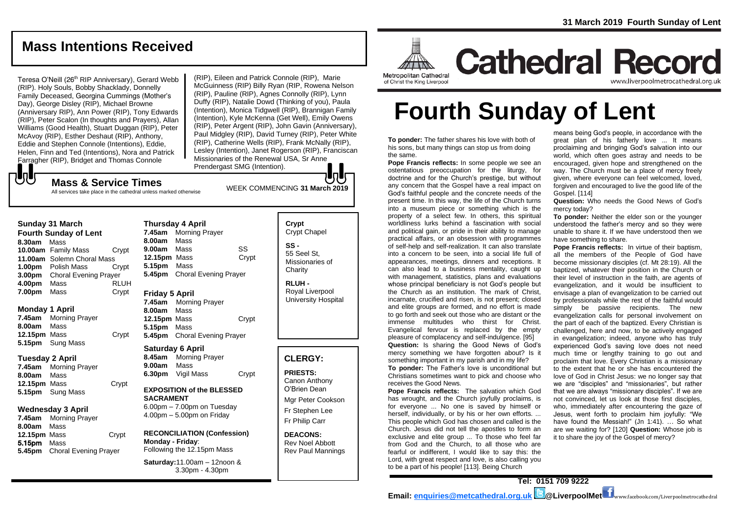# **Mass Intentions Received**

Teresa O'Neill (26<sup>th</sup> RIP Anniversary), Gerard Webb (RIP). Holy Souls, Bobby Shacklady, Donnelly Family Deceased, Georgina Cummings (Mother's Day), George Disley (RIP), Michael Browne (Anniversary RIP), Ann Power (RIP), Tony Edwards (RIP), Peter Scalon (In thoughts and Prayers), Allan Williams (Good Health), Stuart Duggan (RIP), Peter McAvoy (RIP), Esther Deshaut (RIP), Anthony, Eddie and Stephen Connole (Intentions), Eddie, Helen, Finn and Ted (Intentions), Nora and Patrick Farragher (RIP), Bridget and Thomas Connole

WEEK COMMENCING **<sup>31</sup> March <sup>2019</sup> Mass & Service Times** (RIP), Eileen and Patrick Connole (RIP), Marie McGuinness (RIP) Billy Ryan (RIP, Rowena Nelson (RIP), Pauline (RIP), Agnes Connolly (RIP), Lynn Duffy (RIP), Natalie Dowd (Thinking of you), Paula (Intention), Monica Tidgwell (RIP), Brannigan Family (Intention), Kyle McKenna (Get Well), Emily Owens (RIP), Peter Argent (RIP), John Gavin (Anniversary), Paul Midgley (RIP), David Turney (RIP), Peter White (RIP), Catherine Wells (RIP), Frank McNally (RIP), Lesley (Intention), Janet Rogerson (RIP), Franciscan Missionaries of the Renewal USA, Sr Anne Prendergast SMG (Intention).

# でし

All services take place in the cathedral unless marked otherwise

#### **Sunday 31 March**

**Fourth Sunday of Lent 8.30am** Mass **10.00am** Family Mass Crypt **11.00am** Solemn Choral Mass **1.00pm** Polish Mass Crypt **3.00pm** Choral Evening Prayer **4.00pm** Mass RLUH **7.00pm** Mass Crypt

#### **Monday 1 April**

**7.45am** Morning Prayer **8.00am** Mass **12.15pm** Mass Crypt **5.15pm** Sung Mass

#### **Tuesday 2 April**

**7.45am** Morning Prayer **8.00am** Mass **12.15pm** Mass Crypt **5.15pm** Sung Mass

#### **Wednesday 3 April**

**7.45am** Morning Prayer **8.00am** Mass **12.15pm** Mass **Crypt** 5.15pm Mass **5.45pm** Choral Evening Prayer

**Thursday 4 April 7.45am** Morning Prayer **8.00am** Mass **9.00am** Mass SS **12.15pm** Mass Crypt **5.15pm** Mass **5.45pm** Choral Evening Prayer

#### **Friday 5 April**

**7.45am** Morning Prayer **8.00am** Mass **12.15pm** Mass Crypt **5.15pm** Mass **5.45pm** Choral Evening Prayer

#### **Saturday 6 April**

**8.45am** Morning Prayer **9.00am** Mass **6.30pm** Vigil Mass Crypt

#### **EXPOSITION of the BLESSED SACRAMENT**

6.00pm – 7.00pm on Tuesday 4.00pm – 5.00pm on Friday

#### **RECONCILIATION (Confession) Monday - Friday**: Following the 12.15pm Mass

**Saturday:**11.00am – 12noon & 3.30pm - 4.30pm

#### **Crypt**  Crypt Chapel **SS -** 55 Seel St, Missionaries of **Charity**

**RLUH -** Royal Liverpool University Hospital

### **CLERGY:**

**PRIESTS:** Canon Anthony O'Brien *Dean*

Mgr Peter Cookson Fr Stephen Lee Fr Philip Carr

**DEACONS:** Rev Noel Abbott Rev Paul Mannings



**Cathedral Record** www.liverpoolmetrocathedral.org.ul

**Fourth Sunday of Lent**

**To ponder:** The father shares his love with both of his sons, but many things can stop us from doing the same.

**Pope Francis reflects:** In some people we see an ostentatious preoccupation for the liturgy, for doctrine and for the Church's prestige, but without any concern that the Gospel have a real impact on God's faithful people and the concrete needs of the present time. In this way, the life of the Church turns into a museum piece or something which is the property of a select few. In others, this spiritual worldliness lurks behind a fascination with social and political gain, or pride in their ability to manage practical affairs, or an obsession with programmes of self-help and self-realization. It can also translate into a concern to be seen, into a social life full of appearances, meetings, dinners and receptions. It can also lead to a business mentality, caught up with management, statistics, plans and evaluations whose principal beneficiary is not God's people but the Church as an institution. The mark of Christ, incarnate, crucified and risen, is not present; closed and elite groups are formed, and no effort is made to go forth and seek out those who are distant or the immense multitudes who thirst for Christ. Evangelical fervour is replaced by the empty pleasure of complacency and self-indulgence. [95] **Question:** Is sharing the Good News of God's mercy something we have forgotten about? Is it something important in my parish and in my life?

**To ponder:** The Father's love is unconditional but Christians sometimes want to pick and choose who receives the Good News.

**Pope Francis reflects:** The salvation which God has wrought, and the Church joyfully proclaims, is for everyone ... No one is saved by himself or herself, individually, or by his or her own efforts. ... This people which God has chosen and called is the Church. Jesus did not tell the apostles to form an exclusive and elite group ... To those who feel far from God and the Church, to all those who are fearful or indifferent, I would like to say this: the Lord, with great respect and love, is also calling you to be a part of his people! [113]. Being Church

means being God's people, in accordance with the great plan of his fatherly love ... It means proclaiming and bringing God's salvation into our world, which often goes astray and needs to be encouraged, given hope and strengthened on the way. The Church must be a place of mercy freely given, where everyone can feel welcomed, loved, forgiven and encouraged to live the good life of the Gospel. [114]

**Question:** Who needs the Good News of God's mercy today?

**To ponder:** Neither the elder son or the younger understood the father's mercy and so they were unable to share it. If we have understood then we have something to share.

**Pope Francis reflects:** In virtue of their baptism, all the members of the People of God have become missionary disciples (cf. *Mt 28:19*). All the baptized, whatever their position in the Church or their level of instruction in the faith, are agents of evangelization, and it would be insufficient to envisage a plan of evangelization to be carried out by professionals while the rest of the faithful would simply be passive recipients. The new evangelization calls for personal involvement on the part of each of the baptized. Every Christian is challenged, here and now, to be actively engaged in evangelization; indeed, anyone who has truly experienced God's saving love does not need much time or lengthy training to go out and proclaim that love. Every Christian is a missionary to the extent that he or she has encountered the love of God in Christ Jesus: we no longer say that we are "disciples" and "missionaries", but rather that we are always "missionary disciples". If we are not convinced, let us look at those first disciples, who, immediately after encountering the gaze of Jesus, went forth to proclaim him joyfully: "We have found the Messiah!" (*Jn 1:41*). … So what are we waiting for? [120] **Question:** Whose job is it to share the joy of the Gospel of mercy?